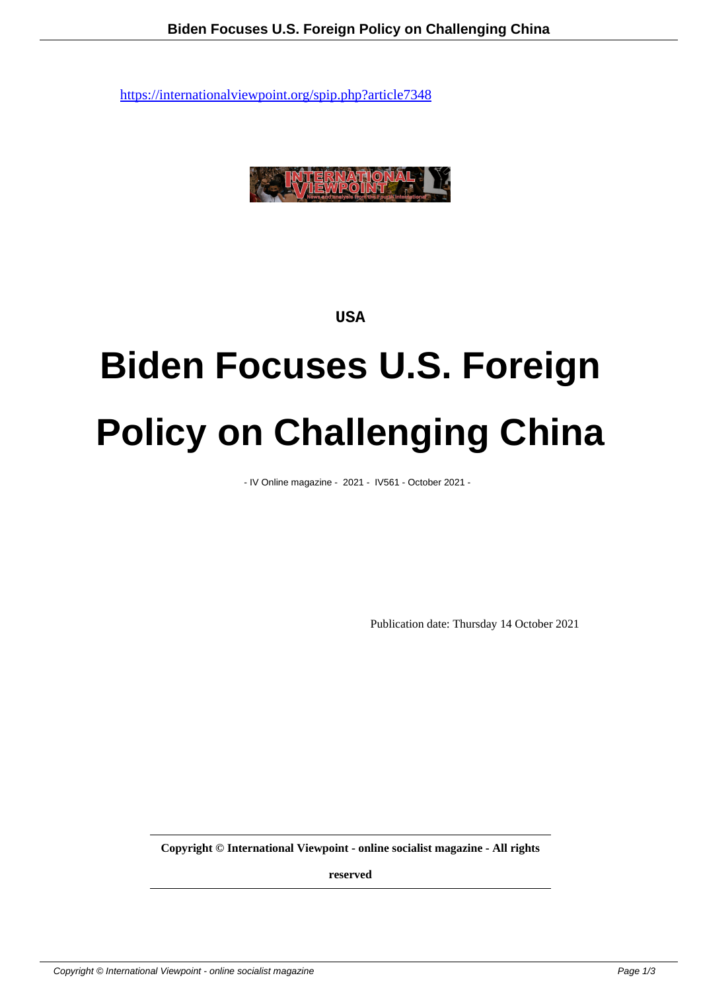

**USA**

## **Biden Focuses U.S. Foreign Policy on Challenging China**

- IV Online magazine - 2021 - IV561 - October 2021 -

Publication date: Thursday 14 October 2021

**Copyright © International Viewpoint - online socialist magazine - All rights**

**reserved**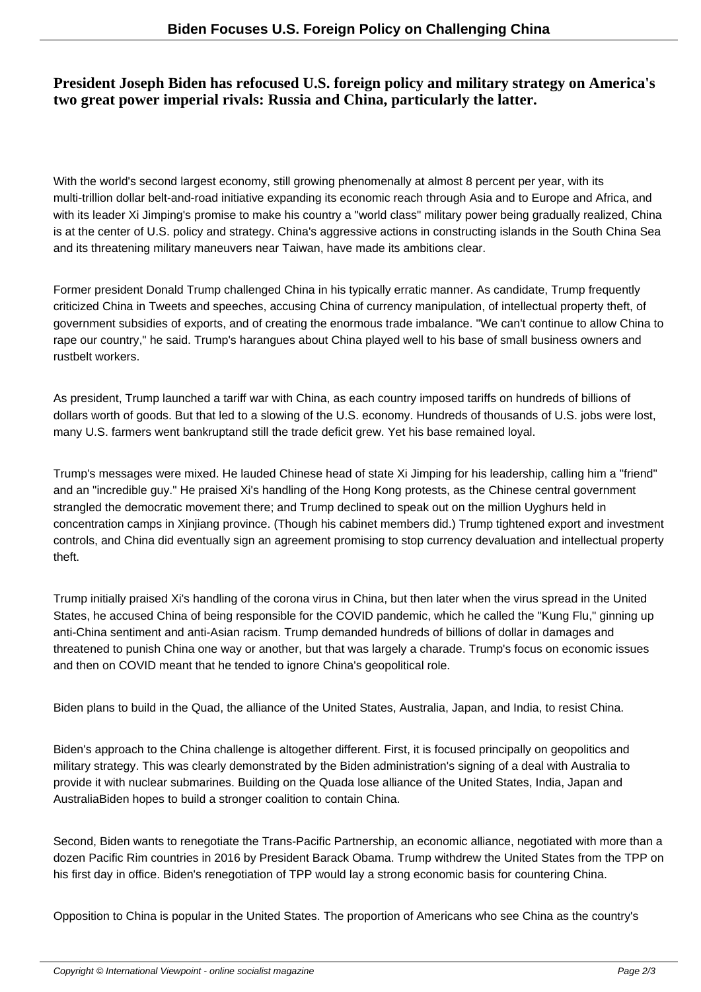## **President Joseph Biden has refocused U.S. foreign policy and military strategy on America's two great power imperial rivals: Russia and China, particularly the latter.**

With the world's second largest economy, still growing phenomenally at almost 8 percent per year, with its multi-trillion dollar belt-and-road initiative expanding its economic reach through Asia and to Europe and Africa, and with its leader Xi Jimping's promise to make his country a "world class" military power being gradually realized, China is at the center of U.S. policy and strategy. China's aggressive actions in constructing islands in the South China Sea and its threatening military maneuvers near Taiwan, have made its ambitions clear.

Former president Donald Trump challenged China in his typically erratic manner. As candidate, Trump frequently criticized China in Tweets and speeches, accusing China of currency manipulation, of intellectual property theft, of government subsidies of exports, and of creating the enormous trade imbalance. "We can't continue to allow China to rape our country," he said. Trump's harangues about China played well to his base of small business owners and rustbelt workers.

As president, Trump launched a tariff war with China, as each country imposed tariffs on hundreds of billions of dollars worth of goods. But that led to a slowing of the U.S. economy. Hundreds of thousands of U.S. jobs were lost, many U.S. farmers went bankrupt and still the trade deficit grew. Yet his base remained loyal.

Trump's messages were mixed. He lauded Chinese head of state Xi Jimping for his leadership, calling him a "friend" and an "incredible guy." He praised Xi's handling of the Hong Kong protests, as the Chinese central government strangled the democratic movement there; and Trump declined to speak out on the million Uyghurs held in concentration camps in Xinjiang province. (Though his cabinet members did.) Trump tightened export and investment controls, and China did eventually sign an agreement promising to stop currency devaluation and intellectual property theft.

Trump initially praised Xi's handling of the corona virus in China, but then later when the virus spread in the United States, he accused China of being responsible for the COVID pandemic, which he called the "Kung Flu," ginning up anti-China sentiment and anti-Asian racism. Trump demanded hundreds of billions of dollar in damages and threatened to punish China one way or another, but that was largely a charade. Trump's focus on economic issues and then on COVID meant that he tended to ignore China's geopolitical role.

Biden plans to build in the Quad, the alliance of the United States, Australia, Japan, and India, to resist China.

Biden's approach to the China challenge is altogether different. First, it is focused principally on geopolitics and military strategy. This was clearly demonstrated by the Biden administration's signing of a deal with Australia to provide it with nuclear submarines. Building on the Quada lose alliance of the United States, India, Japan and Australia Biden hopes to build a stronger coalition to contain China.

Second, Biden wants to renegotiate the Trans-Pacific Partnership, an economic alliance, negotiated with more than a dozen Pacific Rim countries in 2016 by President Barack Obama. Trump withdrew the United States from the TPP on his first day in office. Biden's renegotiation of TPP would lay a strong economic basis for countering China.

Opposition to China is popular in the United States. The proportion of Americans who see China as the country's